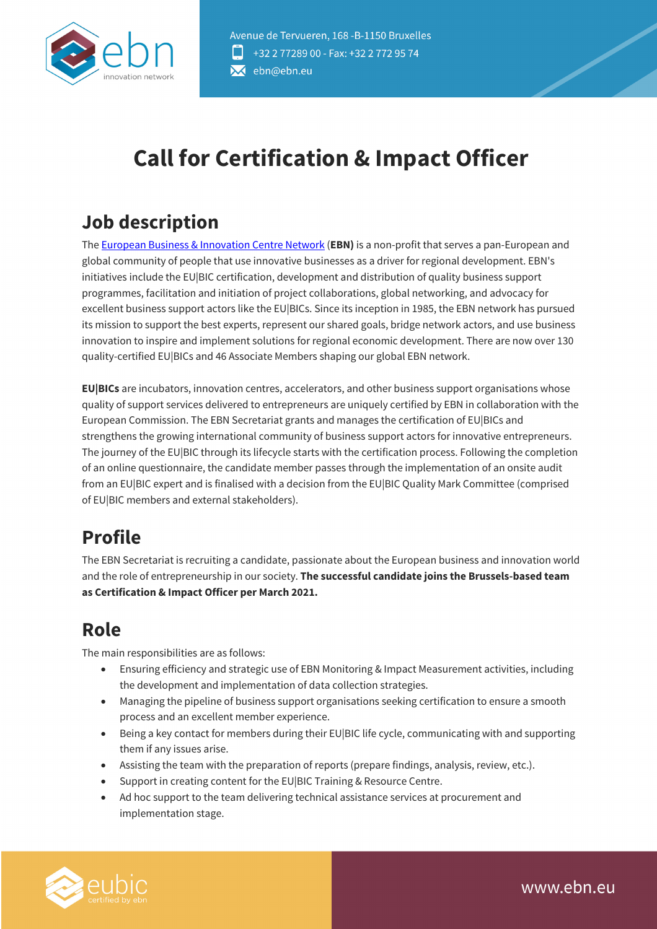

# **Call for Certification & Impact Officer**

# **Job description**

The European Business & Innovation Centre Network (**EBN)** is a non-profit that serves a pan-European and global community of people that use innovative businesses as a driver for regional development. EBN's initiatives include the EU|BIC certification, development and distribution of quality business support programmes, facilitation and initiation of project collaborations, global networking, and advocacy for excellent business support actors like the EU|BICs. Since its inception in 1985, the EBN network has pursued its mission to support the best experts, represent our shared goals, bridge network actors, and use business innovation to inspire and implement solutions for regional economic development. There are now over 130 quality-certified EU|BICs and 46 Associate Members shaping our global EBN network.

**EU|BICs** are incubators, innovation centres, accelerators, and other business support organisations whose quality of support services delivered to entrepreneurs are uniquely certified by EBN in collaboration with the European Commission. The EBN Secretariat grants and manages the certification of EU|BICs and strengthens the growing international community of business support actors for innovative entrepreneurs. The journey of the EU|BIC through its lifecycle starts with the certification process. Following the completion of an online questionnaire, the candidate member passes through the implementation of an onsite audit from an EU|BIC expert and is finalised with a decision from the EU|BIC Quality Mark Committee (comprised of EU|BIC members and external stakeholders).

# **Profile**

The EBN Secretariat is recruiting a candidate, passionate about the European business and innovation world and the role of entrepreneurship in our society. **The successful candidate joins the Brussels-based team as Certification & Impact Officer per March 2021.**

# **Role**

The main responsibilities are as follows:

- Ensuring efficiency and strategic use of EBN Monitoring & Impact Measurement activities, including the development and implementation of data collection strategies.
- Managing the pipeline of business support organisations seeking certification to ensure a smooth process and an excellent member experience.
- Being a key contact for members during their EU|BIC life cycle, communicating with and supporting them if any issues arise.
- Assisting the team with the preparation of reports (prepare findings, analysis, review, etc.).
- Support in creating content for the EU|BIC Training & Resource Centre.
- Ad hoc support to the team delivering technical assistance services at procurement and implementation stage.

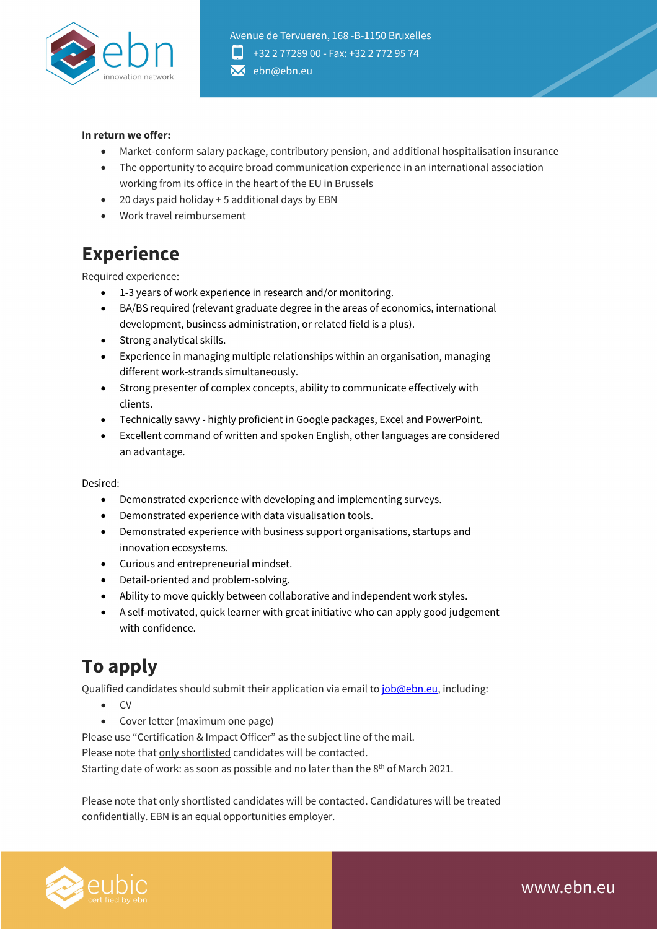

#### **In return we offer:**

- Market-conform salary package, contributory pension, and additional hospitalisation insurance
- The opportunity to acquire broad communication experience in an international association working from its office in the heart of the EU in Brussels
- 20 days paid holiday + 5 additional days by EBN
- Work travel reimbursement

# **Experience**

Required experience:

- 1-3 years of work experience in research and/or monitoring.
- BA/BS required (relevant graduate degree in the areas of economics, international development, business administration, or related field is a plus).
- Strong analytical skills.
- Experience in managing multiple relationships within an organisation, managing different work-strands simultaneously.
- Strong presenter of complex concepts, ability to communicate effectively with clients.
- Technically savvy highly proficient in Google packages, Excel and PowerPoint.
- Excellent command of written and spoken English, other languages are considered an advantage.

#### Desired:

- Demonstrated experience with developing and implementing surveys.
- Demonstrated experience with data visualisation tools.
- Demonstrated experience with business support organisations, startups and innovation ecosystems.
- Curious and entrepreneurial mindset.
- Detail-oriented and problem-solving.
- Ability to move quickly between collaborative and independent work styles.
- A self-motivated, quick learner with great initiative who can apply good judgement with confidence.

# **To apply**

Qualified candidates should submit their application via email to *job@ebn.eu*, including:

- CV
- Cover letter (maximum one page)

Please use "Certification & Impact Officer" as the subject line of the mail.

Please note that only shortlisted candidates will be contacted.

Starting date of work: as soon as possible and no later than the 8<sup>th</sup> of March 2021.

Please note that only shortlisted candidates will be contacted. Candidatures will be treated confidentially. EBN is an equal opportunities employer.